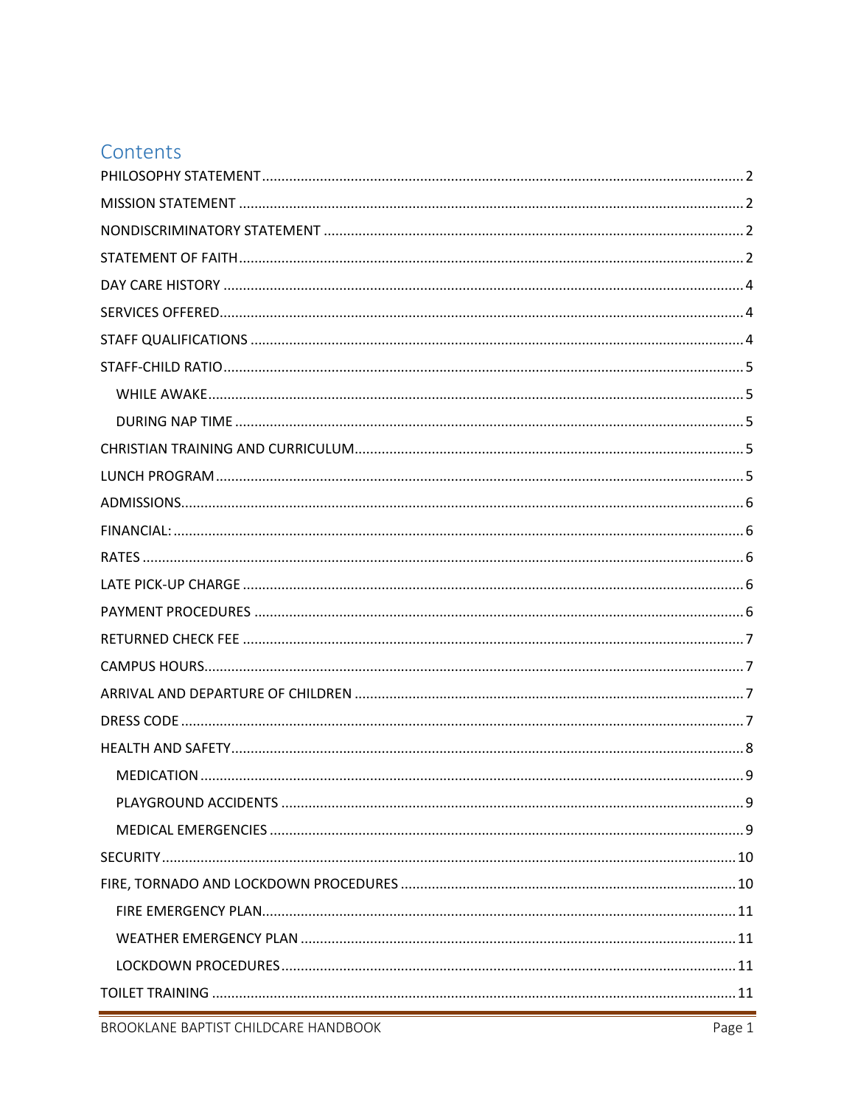# Contents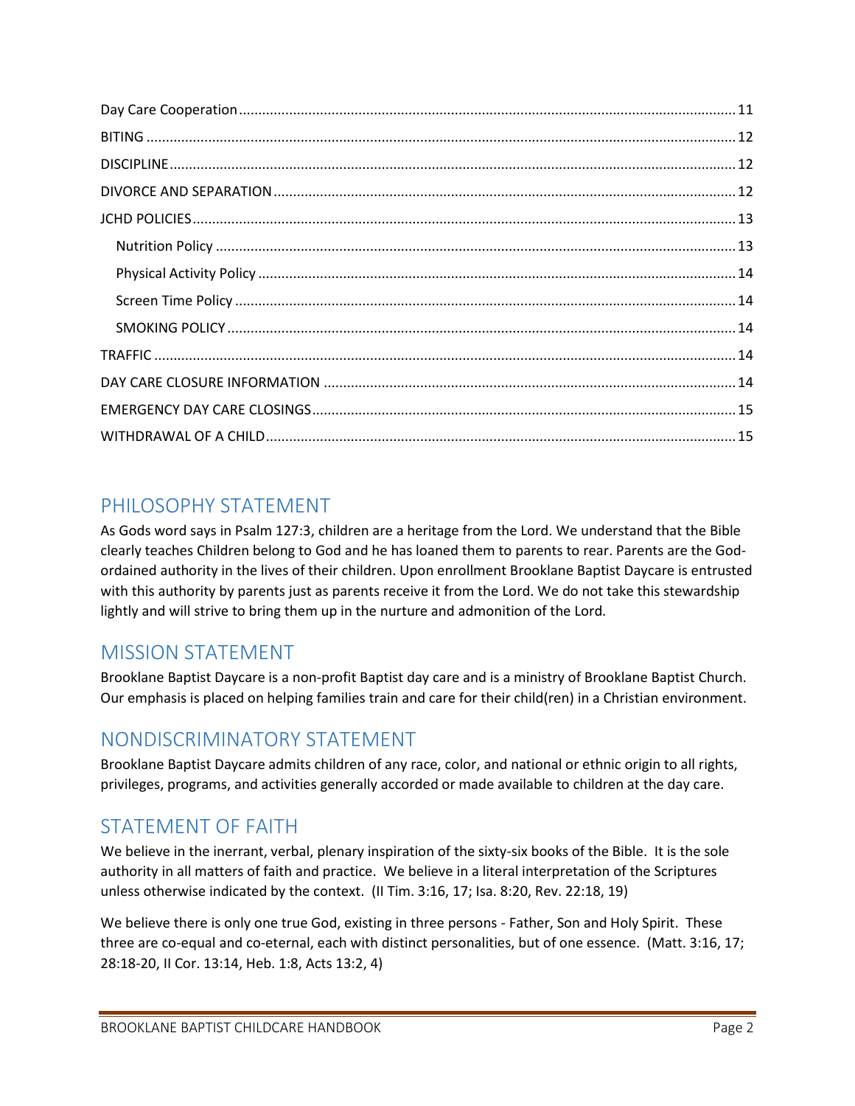# <span id="page-1-0"></span>PHILOSOPHY STATEMENT

As Gods word says in Psalm 127:3, children are a heritage from the Lord. We understand that the Bible clearly teaches Children belong to God and he has loaned them to parents to rear. Parents are the Godordained authority in the lives of their children. Upon enrollment Brooklane Baptist Daycare is entrusted with this authority by parents just as parents receive it from the Lord. We do not take this stewardship lightly and will strive to bring them up in the nurture and admonition of the Lord.

# <span id="page-1-1"></span>MISSION STATEMENT

Brooklane Baptist Daycare is a non-profit Baptist day care and is a ministry of Brooklane Baptist Church. Our emphasis is placed on helping families train and care for their child(ren) in a Christian environment.

## <span id="page-1-2"></span>NONDISCRIMINATORY STATEMENT

Brooklane Baptist Daycare admits children of any race, color, and national or ethnic origin to all rights, privileges, programs, and activities generally accorded or made available to children at the day care.

# <span id="page-1-3"></span>STATEMENT OF FAITH

We believe in the inerrant, verbal, plenary inspiration of the sixty-six books of the Bible. It is the sole authority in all matters of faith and practice. We believe in a literal interpretation of the Scriptures unless otherwise indicated by the context. (II Tim. 3:16, 17; Isa. 8:20, Rev. 22:18, 19)

We believe there is only one true God, existing in three persons - Father, Son and Holy Spirit. These three are co-equal and co-eternal, each with distinct personalities, but of one essence. (Matt. 3:16, 17; 28:18-20, II Cor. 13:14, Heb. 1:8, Acts 13:2, 4)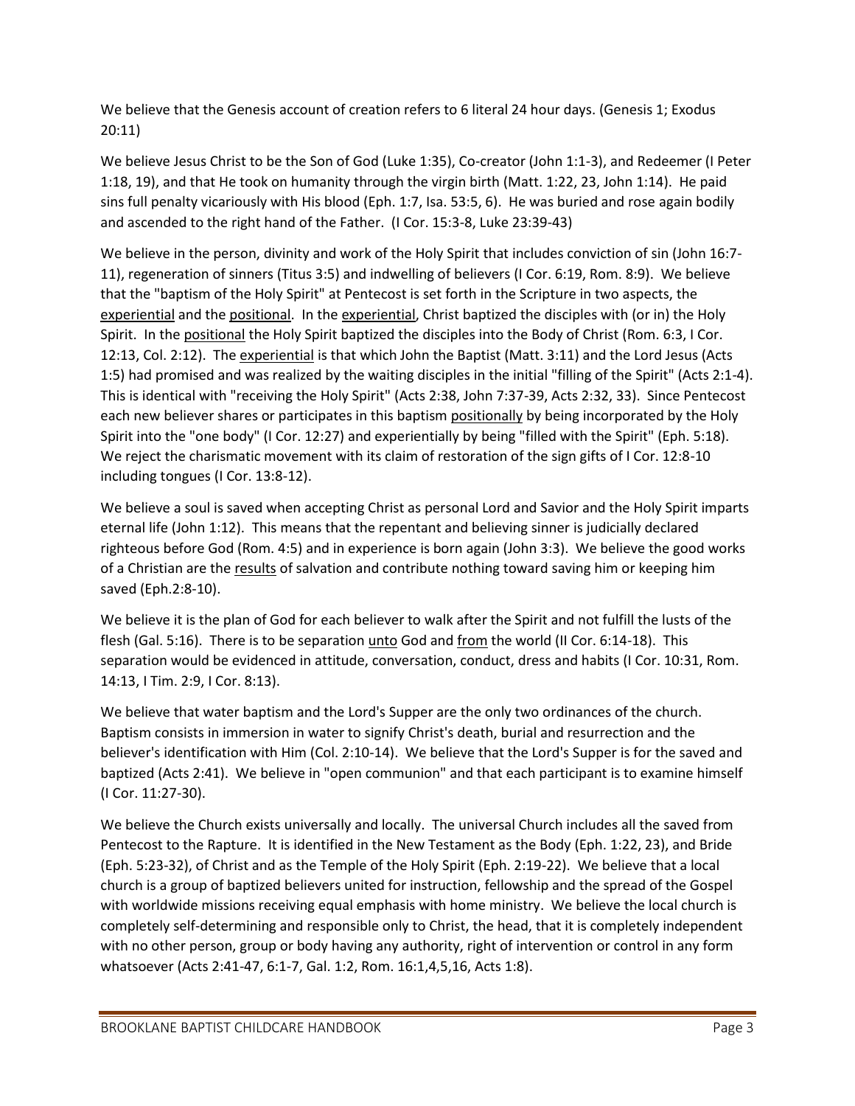We believe that the Genesis account of creation refers to 6 literal 24 hour days. (Genesis 1; Exodus 20:11)

We believe Jesus Christ to be the Son of God (Luke 1:35), Co-creator (John 1:1-3), and Redeemer (I Peter 1:18, 19), and that He took on humanity through the virgin birth (Matt. 1:22, 23, John 1:14). He paid sins full penalty vicariously with His blood (Eph. 1:7, Isa. 53:5, 6). He was buried and rose again bodily and ascended to the right hand of the Father. (I Cor. 15:3-8, Luke 23:39-43)

We believe in the person, divinity and work of the Holy Spirit that includes conviction of sin (John 16:7- 11), regeneration of sinners (Titus 3:5) and indwelling of believers (I Cor. 6:19, Rom. 8:9). We believe that the "baptism of the Holy Spirit" at Pentecost is set forth in the Scripture in two aspects, the experiential and the positional. In the experiential, Christ baptized the disciples with (or in) the Holy Spirit. In the positional the Holy Spirit baptized the disciples into the Body of Christ (Rom. 6:3, I Cor. 12:13, Col. 2:12). The experiential is that which John the Baptist (Matt. 3:11) and the Lord Jesus (Acts 1:5) had promised and was realized by the waiting disciples in the initial "filling of the Spirit" (Acts 2:1-4). This is identical with "receiving the Holy Spirit" (Acts 2:38, John 7:37-39, Acts 2:32, 33). Since Pentecost each new believer shares or participates in this baptism positionally by being incorporated by the Holy Spirit into the "one body" (I Cor. 12:27) and experientially by being "filled with the Spirit" (Eph. 5:18). We reject the charismatic movement with its claim of restoration of the sign gifts of I Cor. 12:8-10 including tongues (I Cor. 13:8-12).

We believe a soul is saved when accepting Christ as personal Lord and Savior and the Holy Spirit imparts eternal life (John 1:12). This means that the repentant and believing sinner is judicially declared righteous before God (Rom. 4:5) and in experience is born again (John 3:3). We believe the good works of a Christian are the results of salvation and contribute nothing toward saving him or keeping him saved (Eph.2:8-10).

We believe it is the plan of God for each believer to walk after the Spirit and not fulfill the lusts of the flesh (Gal. 5:16). There is to be separation unto God and from the world (II Cor. 6:14-18). This separation would be evidenced in attitude, conversation, conduct, dress and habits (I Cor. 10:31, Rom. 14:13, I Tim. 2:9, I Cor. 8:13).

We believe that water baptism and the Lord's Supper are the only two ordinances of the church. Baptism consists in immersion in water to signify Christ's death, burial and resurrection and the believer's identification with Him (Col. 2:10-14). We believe that the Lord's Supper is for the saved and baptized (Acts 2:41). We believe in "open communion" and that each participant is to examine himself (I Cor. 11:27-30).

We believe the Church exists universally and locally. The universal Church includes all the saved from Pentecost to the Rapture. It is identified in the New Testament as the Body (Eph. 1:22, 23), and Bride (Eph. 5:23-32), of Christ and as the Temple of the Holy Spirit (Eph. 2:19-22). We believe that a local church is a group of baptized believers united for instruction, fellowship and the spread of the Gospel with worldwide missions receiving equal emphasis with home ministry. We believe the local church is completely self-determining and responsible only to Christ, the head, that it is completely independent with no other person, group or body having any authority, right of intervention or control in any form whatsoever (Acts 2:41-47, 6:1-7, Gal. 1:2, Rom. 16:1,4,5,16, Acts 1:8).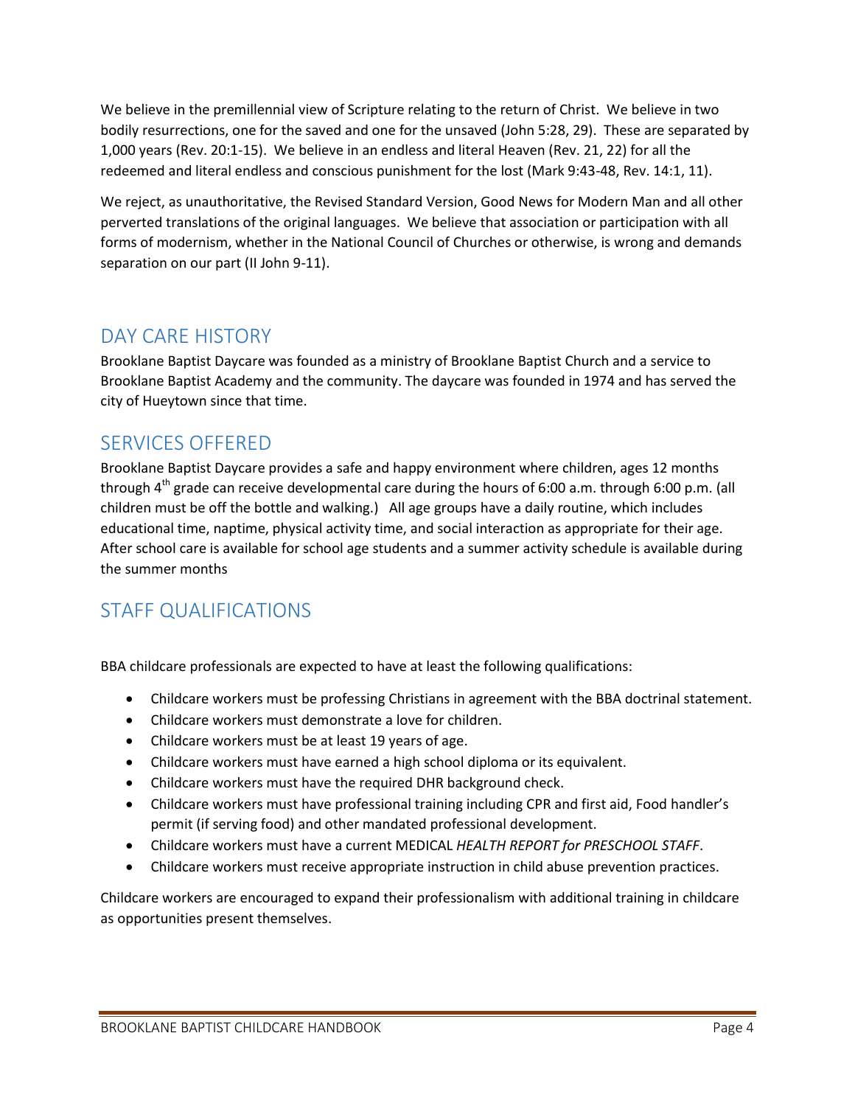We believe in the premillennial view of Scripture relating to the return of Christ. We believe in two bodily resurrections, one for the saved and one for the unsaved (John 5:28, 29). These are separated by 1,000 years (Rev. 20:1-15). We believe in an endless and literal Heaven (Rev. 21, 22) for all the redeemed and literal endless and conscious punishment for the lost (Mark 9:43-48, Rev. 14:1, 11).

We reject, as unauthoritative, the Revised Standard Version, Good News for Modern Man and all other perverted translations of the original languages. We believe that association or participation with all forms of modernism, whether in the National Council of Churches or otherwise, is wrong and demands separation on our part (II John 9-11).

# <span id="page-3-0"></span>DAY CARE HISTORY

Brooklane Baptist Daycare was founded as a ministry of Brooklane Baptist Church and a service to Brooklane Baptist Academy and the community. The daycare was founded in 1974 and has served the city of Hueytown since that time.

## <span id="page-3-1"></span>SERVICES OFFERED

Brooklane Baptist Daycare provides a safe and happy environment where children, ages 12 months through  $4<sup>th</sup>$  grade can receive developmental care during the hours of 6:00 a.m. through 6:00 p.m. (all children must be off the bottle and walking.) All age groups have a daily routine, which includes educational time, naptime, physical activity time, and social interaction as appropriate for their age. After school care is available for school age students and a summer activity schedule is available during the summer months

# <span id="page-3-2"></span>STAFF QUALIFICATIONS

BBA childcare professionals are expected to have at least the following qualifications:

- Childcare workers must be professing Christians in agreement with the BBA doctrinal statement.
- Childcare workers must demonstrate a love for children.
- Childcare workers must be at least 19 years of age.
- Childcare workers must have earned a high school diploma or its equivalent.
- Childcare workers must have the required DHR background check.
- Childcare workers must have professional training including CPR and first aid, Food handler's permit (if serving food) and other mandated professional development.
- Childcare workers must have a current MEDICAL *HEALTH REPORT for PRESCHOOL STAFF*.
- Childcare workers must receive appropriate instruction in child abuse prevention practices.

Childcare workers are encouraged to expand their professionalism with additional training in childcare as opportunities present themselves.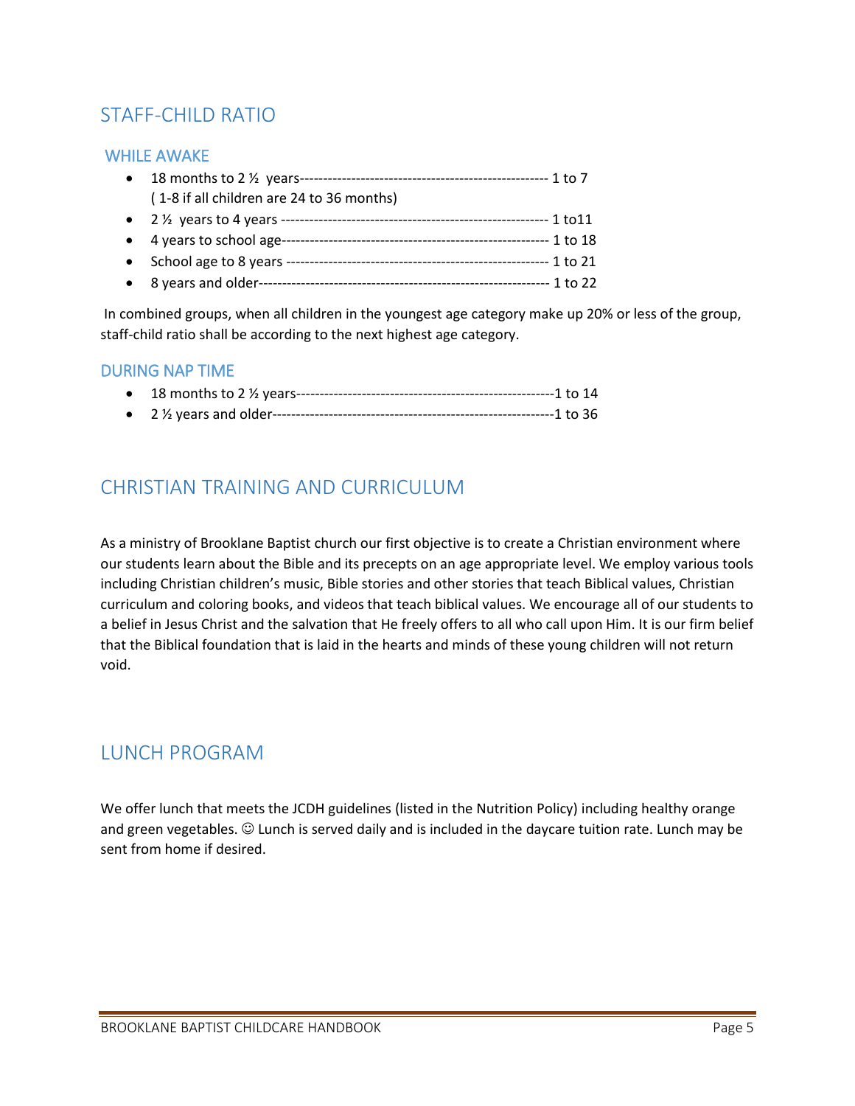# <span id="page-4-0"></span>STAFF-CHILD RATIO

#### <span id="page-4-1"></span>WHILE AWAKE

| $\bullet$ |                                           |
|-----------|-------------------------------------------|
|           | (1-8 if all children are 24 to 36 months) |
|           |                                           |
|           | • 4 years to school age--                 |
|           | • School age to 8 years ----              |
|           |                                           |
|           |                                           |

In combined groups, when all children in the youngest age category make up 20% or less of the group, staff-child ratio shall be according to the next highest age category.

#### <span id="page-4-2"></span>DURING NAP TIME

## <span id="page-4-3"></span>CHRISTIAN TRAINING AND CURRICULUM

As a ministry of Brooklane Baptist church our first objective is to create a Christian environment where our students learn about the Bible and its precepts on an age appropriate level. We employ various tools including Christian children's music, Bible stories and other stories that teach Biblical values, Christian curriculum and coloring books, and videos that teach biblical values. We encourage all of our students to a belief in Jesus Christ and the salvation that He freely offers to all who call upon Him. It is our firm belief that the Biblical foundation that is laid in the hearts and minds of these young children will not return void.

### <span id="page-4-4"></span>LUNCH PROGRAM

We offer lunch that meets the JCDH guidelines (listed in the Nutrition Policy) including healthy orange and green vegetables.  $\odot$  Lunch is served daily and is included in the daycare tuition rate. Lunch may be sent from home if desired.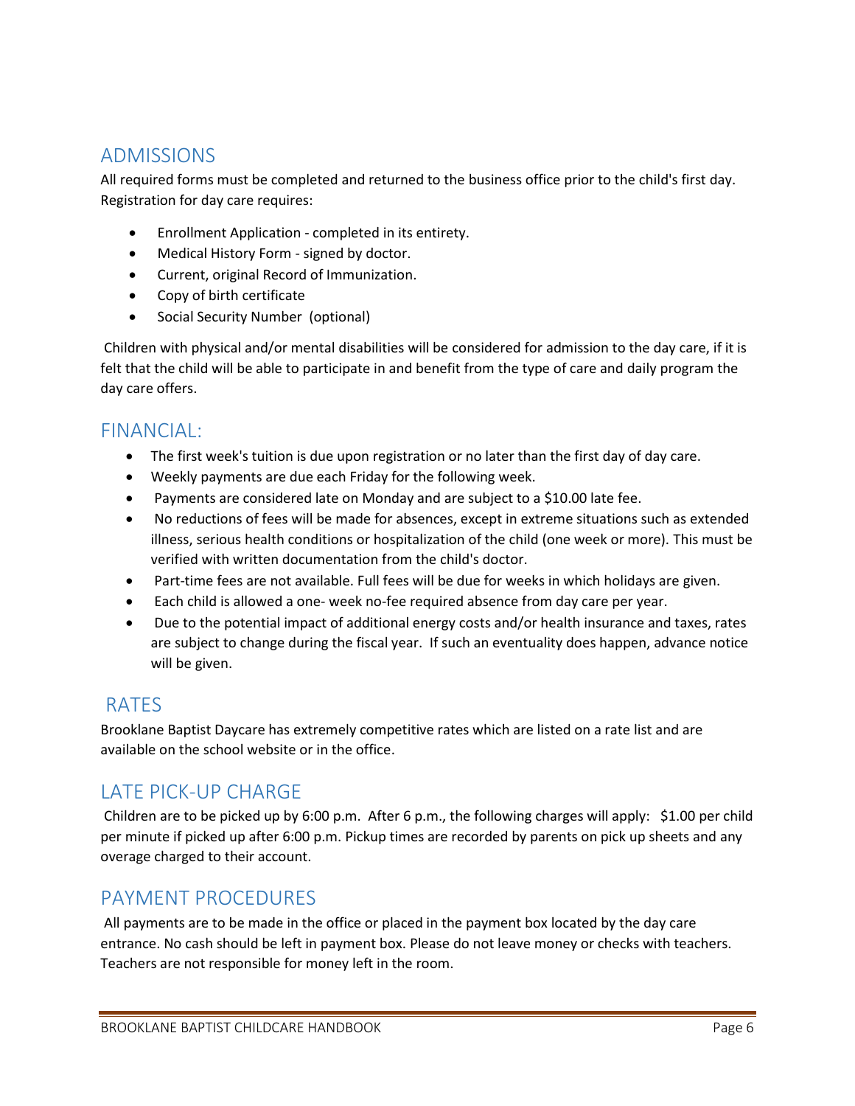## <span id="page-5-0"></span>ADMISSIONS

All required forms must be completed and returned to the business office prior to the child's first day. Registration for day care requires:

- Enrollment Application completed in its entirety.
- Medical History Form signed by doctor.
- Current, original Record of Immunization.
- Copy of birth certificate
- Social Security Number (optional)

Children with physical and/or mental disabilities will be considered for admission to the day care, if it is felt that the child will be able to participate in and benefit from the type of care and daily program the day care offers.

### <span id="page-5-1"></span>FINANCIAL:

- The first week's tuition is due upon registration or no later than the first day of day care.
- Weekly payments are due each Friday for the following week.
- Payments are considered late on Monday and are subject to a \$10.00 late fee.
- No reductions of fees will be made for absences, except in extreme situations such as extended illness, serious health conditions or hospitalization of the child (one week or more). This must be verified with written documentation from the child's doctor.
- Part-time fees are not available. Full fees will be due for weeks in which holidays are given.
- Each child is allowed a one- week no-fee required absence from day care per year.
- Due to the potential impact of additional energy costs and/or health insurance and taxes, rates are subject to change during the fiscal year. If such an eventuality does happen, advance notice will be given.

## <span id="page-5-2"></span>RATES

Brooklane Baptist Daycare has extremely competitive rates which are listed on a rate list and are available on the school website or in the office.

## <span id="page-5-3"></span>LATE PICK-UP CHARGE

Children are to be picked up by 6:00 p.m. After 6 p.m., the following charges will apply: \$1.00 per child per minute if picked up after 6:00 p.m. Pickup times are recorded by parents on pick up sheets and any overage charged to their account.

### <span id="page-5-4"></span>PAYMENT PROCEDURES

All payments are to be made in the office or placed in the payment box located by the day care entrance. No cash should be left in payment box. Please do not leave money or checks with teachers. Teachers are not responsible for money left in the room.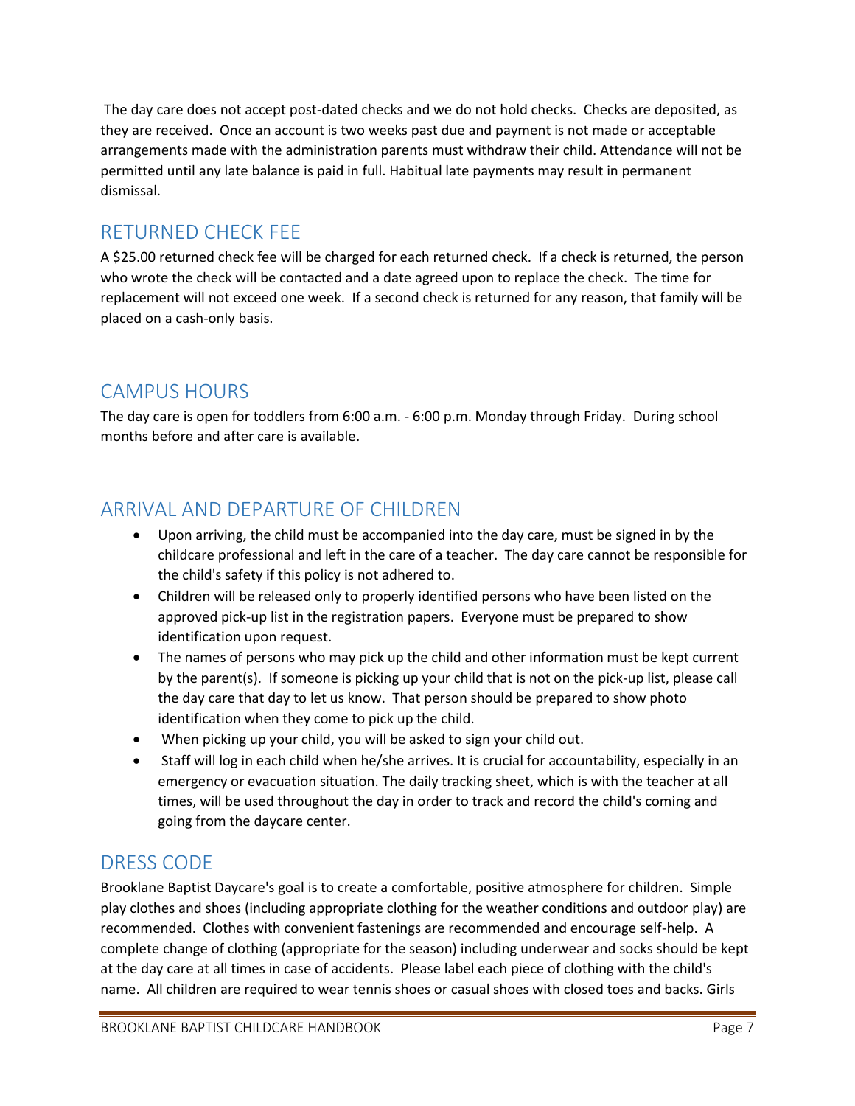The day care does not accept post-dated checks and we do not hold checks. Checks are deposited, as they are received. Once an account is two weeks past due and payment is not made or acceptable arrangements made with the administration parents must withdraw their child. Attendance will not be permitted until any late balance is paid in full. Habitual late payments may result in permanent dismissal.

# <span id="page-6-0"></span>RETURNED CHECK FEE

A \$25.00 returned check fee will be charged for each returned check. If a check is returned, the person who wrote the check will be contacted and a date agreed upon to replace the check. The time for replacement will not exceed one week. If a second check is returned for any reason, that family will be placed on a cash-only basis.

# <span id="page-6-1"></span>CAMPUS HOURS

The day care is open for toddlers from 6:00 a.m. - 6:00 p.m. Monday through Friday. During school months before and after care is available.

# <span id="page-6-2"></span>ARRIVAL AND DEPARTURE OF CHILDREN

- Upon arriving, the child must be accompanied into the day care, must be signed in by the childcare professional and left in the care of a teacher. The day care cannot be responsible for the child's safety if this policy is not adhered to.
- Children will be released only to properly identified persons who have been listed on the approved pick-up list in the registration papers. Everyone must be prepared to show identification upon request.
- The names of persons who may pick up the child and other information must be kept current by the parent(s). If someone is picking up your child that is not on the pick-up list, please call the day care that day to let us know. That person should be prepared to show photo identification when they come to pick up the child.
- When picking up your child, you will be asked to sign your child out.
- Staff will log in each child when he/she arrives. It is crucial for accountability, especially in an emergency or evacuation situation. The daily tracking sheet, which is with the teacher at all times, will be used throughout the day in order to track and record the child's coming and going from the daycare center.

## <span id="page-6-3"></span>DRESS CODE

Brooklane Baptist Daycare's goal is to create a comfortable, positive atmosphere for children. Simple play clothes and shoes (including appropriate clothing for the weather conditions and outdoor play) are recommended. Clothes with convenient fastenings are recommended and encourage self-help. A complete change of clothing (appropriate for the season) including underwear and socks should be kept at the day care at all times in case of accidents. Please label each piece of clothing with the child's name. All children are required to wear tennis shoes or casual shoes with closed toes and backs. Girls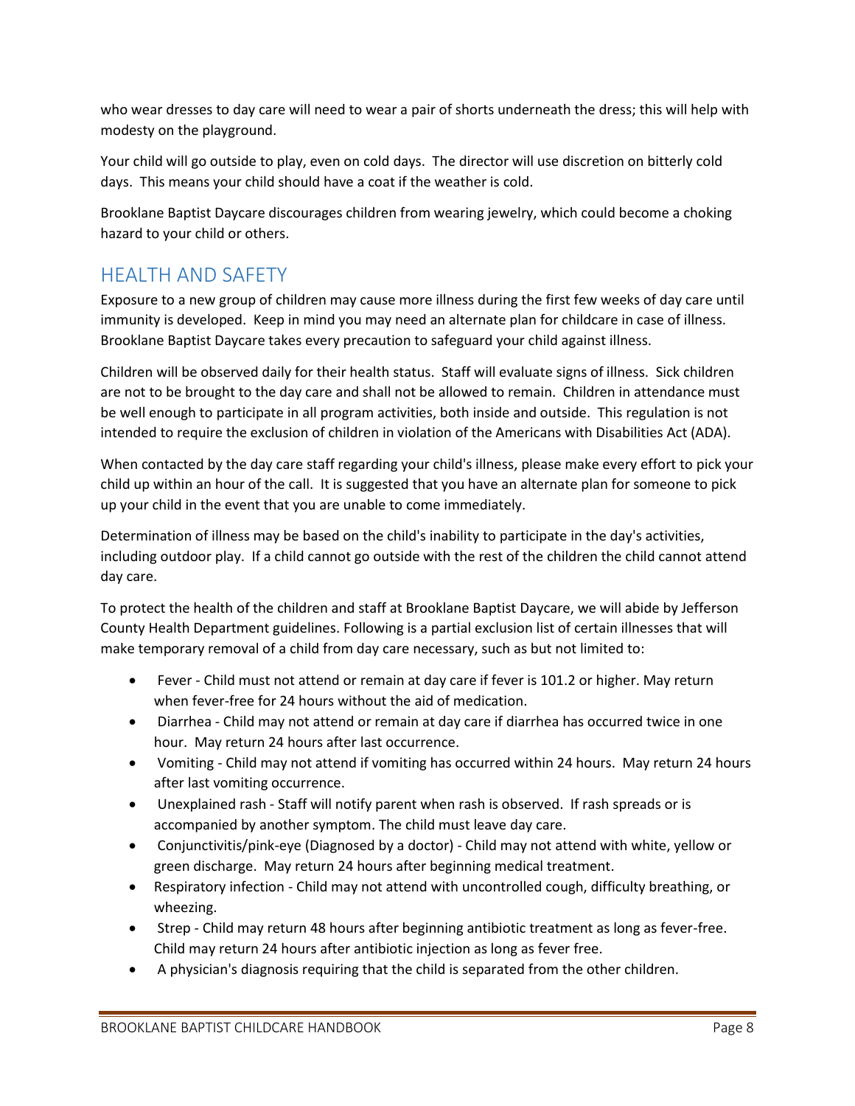who wear dresses to day care will need to wear a pair of shorts underneath the dress; this will help with modesty on the playground.

Your child will go outside to play, even on cold days. The director will use discretion on bitterly cold days. This means your child should have a coat if the weather is cold.

Brooklane Baptist Daycare discourages children from wearing jewelry, which could become a choking hazard to your child or others.

## <span id="page-7-0"></span>HEALTH AND SAFETY

Exposure to a new group of children may cause more illness during the first few weeks of day care until immunity is developed. Keep in mind you may need an alternate plan for childcare in case of illness. Brooklane Baptist Daycare takes every precaution to safeguard your child against illness.

Children will be observed daily for their health status. Staff will evaluate signs of illness. Sick children are not to be brought to the day care and shall not be allowed to remain. Children in attendance must be well enough to participate in all program activities, both inside and outside. This regulation is not intended to require the exclusion of children in violation of the Americans with Disabilities Act (ADA).

When contacted by the day care staff regarding your child's illness, please make every effort to pick your child up within an hour of the call. It is suggested that you have an alternate plan for someone to pick up your child in the event that you are unable to come immediately.

Determination of illness may be based on the child's inability to participate in the day's activities, including outdoor play. If a child cannot go outside with the rest of the children the child cannot attend day care.

To protect the health of the children and staff at Brooklane Baptist Daycare, we will abide by Jefferson County Health Department guidelines. Following is a partial exclusion list of certain illnesses that will make temporary removal of a child from day care necessary, such as but not limited to:

- Fever Child must not attend or remain at day care if fever is 101.2 or higher. May return when fever-free for 24 hours without the aid of medication.
- Diarrhea Child may not attend or remain at day care if diarrhea has occurred twice in one hour. May return 24 hours after last occurrence.
- Vomiting Child may not attend if vomiting has occurred within 24 hours. May return 24 hours after last vomiting occurrence.
- Unexplained rash Staff will notify parent when rash is observed. If rash spreads or is accompanied by another symptom. The child must leave day care.
- Conjunctivitis/pink-eye (Diagnosed by a doctor) Child may not attend with white, yellow or green discharge. May return 24 hours after beginning medical treatment.
- Respiratory infection Child may not attend with uncontrolled cough, difficulty breathing, or wheezing.
- Strep Child may return 48 hours after beginning antibiotic treatment as long as fever-free. Child may return 24 hours after antibiotic injection as long as fever free.
- A physician's diagnosis requiring that the child is separated from the other children.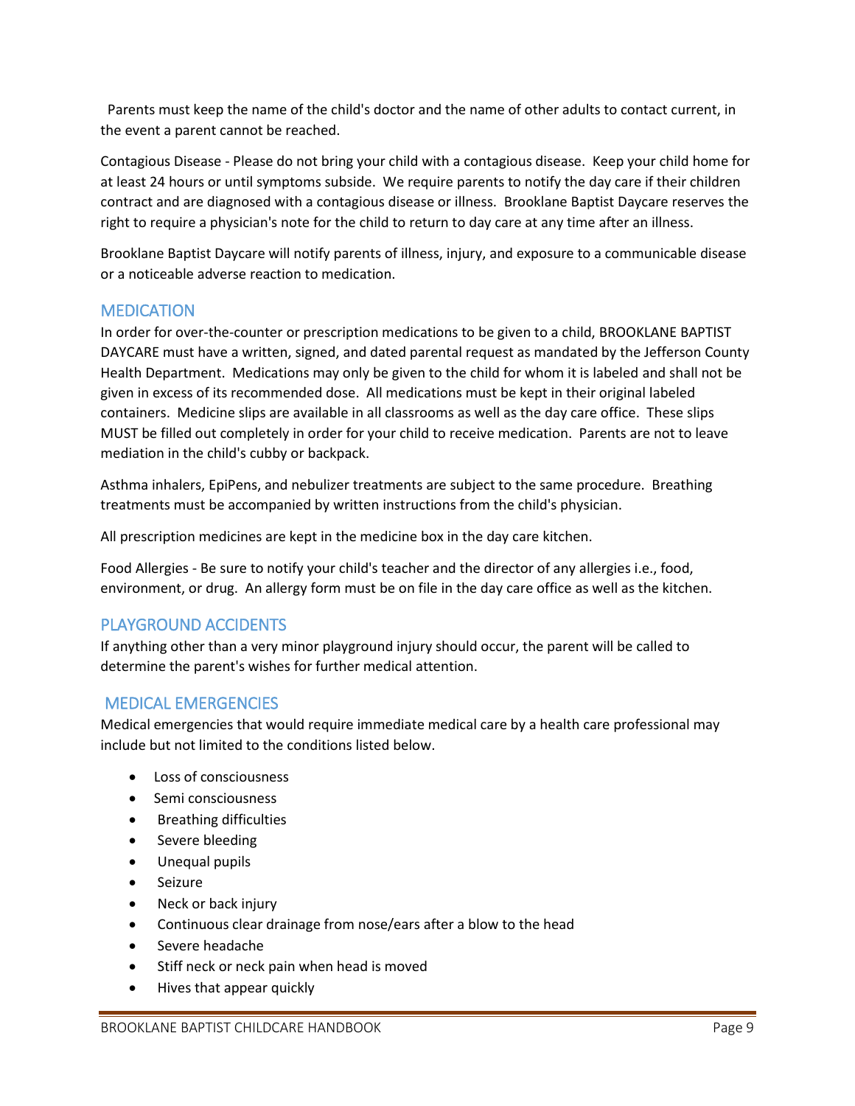Parents must keep the name of the child's doctor and the name of other adults to contact current, in the event a parent cannot be reached.

Contagious Disease - Please do not bring your child with a contagious disease. Keep your child home for at least 24 hours or until symptoms subside. We require parents to notify the day care if their children contract and are diagnosed with a contagious disease or illness. Brooklane Baptist Daycare reserves the right to require a physician's note for the child to return to day care at any time after an illness.

Brooklane Baptist Daycare will notify parents of illness, injury, and exposure to a communicable disease or a noticeable adverse reaction to medication.

#### <span id="page-8-0"></span>MEDICATION

In order for over-the-counter or prescription medications to be given to a child, BROOKLANE BAPTIST DAYCARE must have a written, signed, and dated parental request as mandated by the Jefferson County Health Department. Medications may only be given to the child for whom it is labeled and shall not be given in excess of its recommended dose. All medications must be kept in their original labeled containers. Medicine slips are available in all classrooms as well as the day care office. These slips MUST be filled out completely in order for your child to receive medication. Parents are not to leave mediation in the child's cubby or backpack.

Asthma inhalers, EpiPens, and nebulizer treatments are subject to the same procedure. Breathing treatments must be accompanied by written instructions from the child's physician.

All prescription medicines are kept in the medicine box in the day care kitchen.

Food Allergies - Be sure to notify your child's teacher and the director of any allergies i.e., food, environment, or drug. An allergy form must be on file in the day care office as well as the kitchen.

#### <span id="page-8-1"></span>PLAYGROUND ACCIDENTS

If anything other than a very minor playground injury should occur, the parent will be called to determine the parent's wishes for further medical attention.

#### <span id="page-8-2"></span>MEDICAL EMERGENCIES

Medical emergencies that would require immediate medical care by a health care professional may include but not limited to the conditions listed below.

- Loss of consciousness
- Semi consciousness
- **•** Breathing difficulties
- Severe bleeding
- Unequal pupils
- Seizure
- Neck or back injury
- Continuous clear drainage from nose/ears after a blow to the head
- **•** Severe headache
- Stiff neck or neck pain when head is moved
- Hives that appear quickly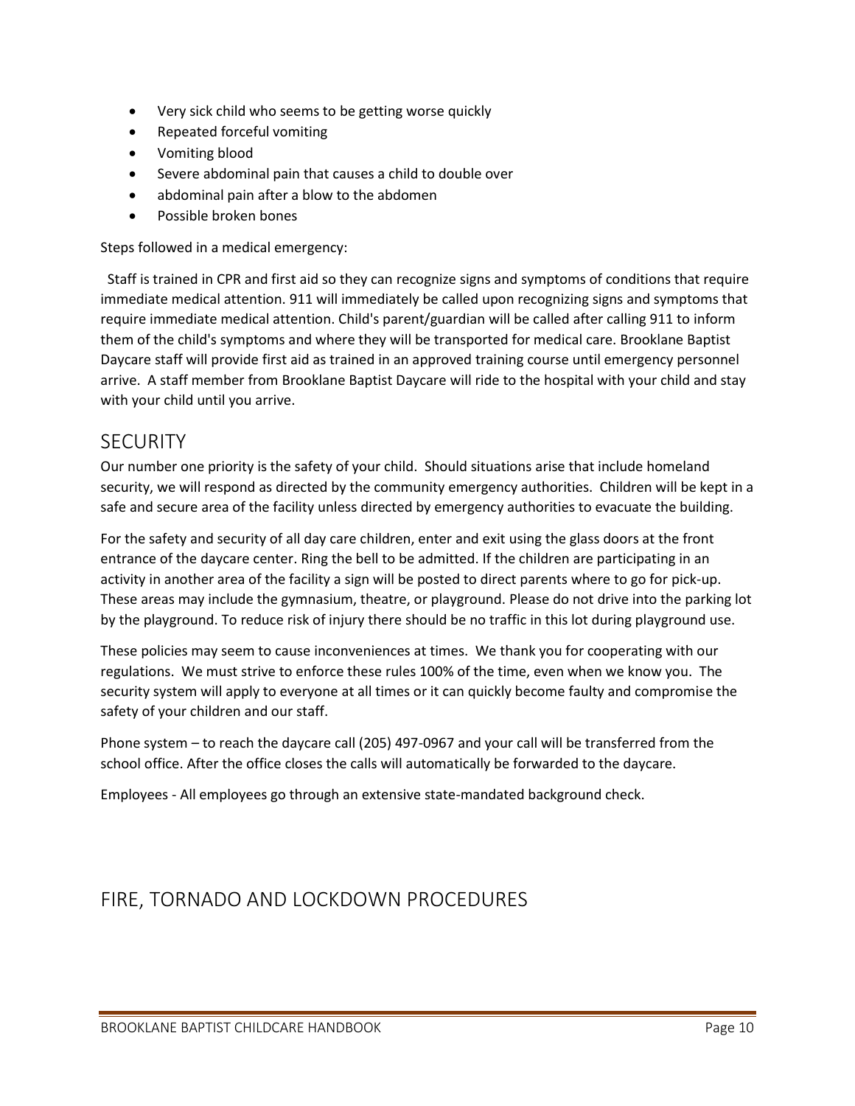- Very sick child who seems to be getting worse quickly
- Repeated forceful vomiting
- Vomiting blood
- Severe abdominal pain that causes a child to double over
- abdominal pain after a blow to the abdomen
- Possible broken bones

Steps followed in a medical emergency:

 Staff is trained in CPR and first aid so they can recognize signs and symptoms of conditions that require immediate medical attention. 911 will immediately be called upon recognizing signs and symptoms that require immediate medical attention. Child's parent/guardian will be called after calling 911 to inform them of the child's symptoms and where they will be transported for medical care. Brooklane Baptist Daycare staff will provide first aid as trained in an approved training course until emergency personnel arrive. A staff member from Brooklane Baptist Daycare will ride to the hospital with your child and stay with your child until you arrive.

### <span id="page-9-0"></span>**SECURITY**

Our number one priority is the safety of your child. Should situations arise that include homeland security, we will respond as directed by the community emergency authorities. Children will be kept in a safe and secure area of the facility unless directed by emergency authorities to evacuate the building.

For the safety and security of all day care children, enter and exit using the glass doors at the front entrance of the daycare center. Ring the bell to be admitted. If the children are participating in an activity in another area of the facility a sign will be posted to direct parents where to go for pick-up. These areas may include the gymnasium, theatre, or playground. Please do not drive into the parking lot by the playground. To reduce risk of injury there should be no traffic in this lot during playground use.

These policies may seem to cause inconveniences at times. We thank you for cooperating with our regulations. We must strive to enforce these rules 100% of the time, even when we know you. The security system will apply to everyone at all times or it can quickly become faulty and compromise the safety of your children and our staff.

Phone system – to reach the daycare call (205) 497-0967 and your call will be transferred from the school office. After the office closes the calls will automatically be forwarded to the daycare.

Employees - All employees go through an extensive state-mandated background check.

## <span id="page-9-1"></span>FIRE, TORNADO AND LOCKDOWN PROCEDURES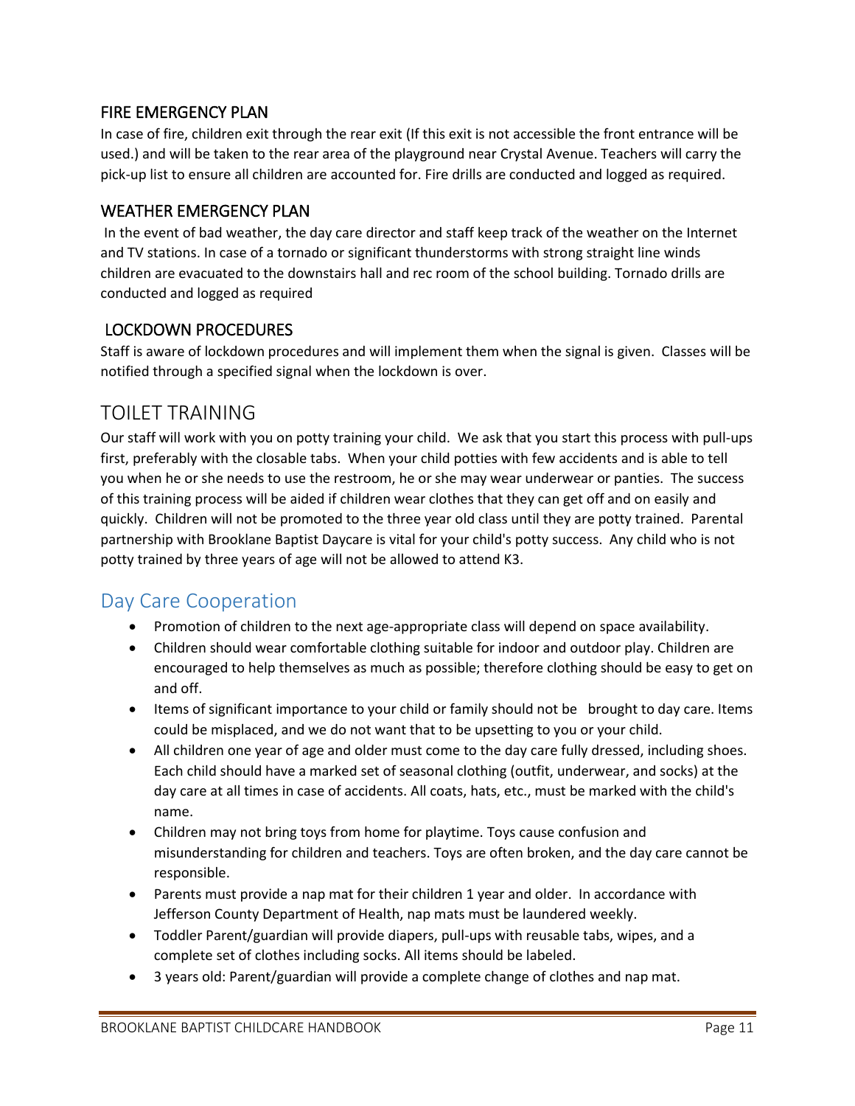#### <span id="page-10-0"></span>FIRE EMERGENCY PLAN

In case of fire, children exit through the rear exit (If this exit is not accessible the front entrance will be used.) and will be taken to the rear area of the playground near Crystal Avenue. Teachers will carry the pick-up list to ensure all children are accounted for. Fire drills are conducted and logged as required.

#### <span id="page-10-1"></span>WEATHER EMERGENCY PLAN

In the event of bad weather, the day care director and staff keep track of the weather on the Internet and TV stations. In case of a tornado or significant thunderstorms with strong straight line winds children are evacuated to the downstairs hall and rec room of the school building. Tornado drills are conducted and logged as required

#### <span id="page-10-2"></span>LOCKDOWN PROCEDURES

Staff is aware of lockdown procedures and will implement them when the signal is given. Classes will be notified through a specified signal when the lockdown is over.

### <span id="page-10-3"></span>TOILET TRAINING

Our staff will work with you on potty training your child. We ask that you start this process with pull-ups first, preferably with the closable tabs. When your child potties with few accidents and is able to tell you when he or she needs to use the restroom, he or she may wear underwear or panties. The success of this training process will be aided if children wear clothes that they can get off and on easily and quickly. Children will not be promoted to the three year old class until they are potty trained. Parental partnership with Brooklane Baptist Daycare is vital for your child's potty success. Any child who is not potty trained by three years of age will not be allowed to attend K3.

### <span id="page-10-4"></span>Day Care Cooperation

- Promotion of children to the next age-appropriate class will depend on space availability.
- Children should wear comfortable clothing suitable for indoor and outdoor play. Children are encouraged to help themselves as much as possible; therefore clothing should be easy to get on and off.
- Items of significant importance to your child or family should not be brought to day care. Items could be misplaced, and we do not want that to be upsetting to you or your child.
- All children one year of age and older must come to the day care fully dressed, including shoes. Each child should have a marked set of seasonal clothing (outfit, underwear, and socks) at the day care at all times in case of accidents. All coats, hats, etc., must be marked with the child's name.
- Children may not bring toys from home for playtime. Toys cause confusion and misunderstanding for children and teachers. Toys are often broken, and the day care cannot be responsible.
- Parents must provide a nap mat for their children 1 year and older. In accordance with Jefferson County Department of Health, nap mats must be laundered weekly.
- Toddler Parent/guardian will provide diapers, pull-ups with reusable tabs, wipes, and a complete set of clothes including socks. All items should be labeled.
- 3 years old: Parent/guardian will provide a complete change of clothes and nap mat.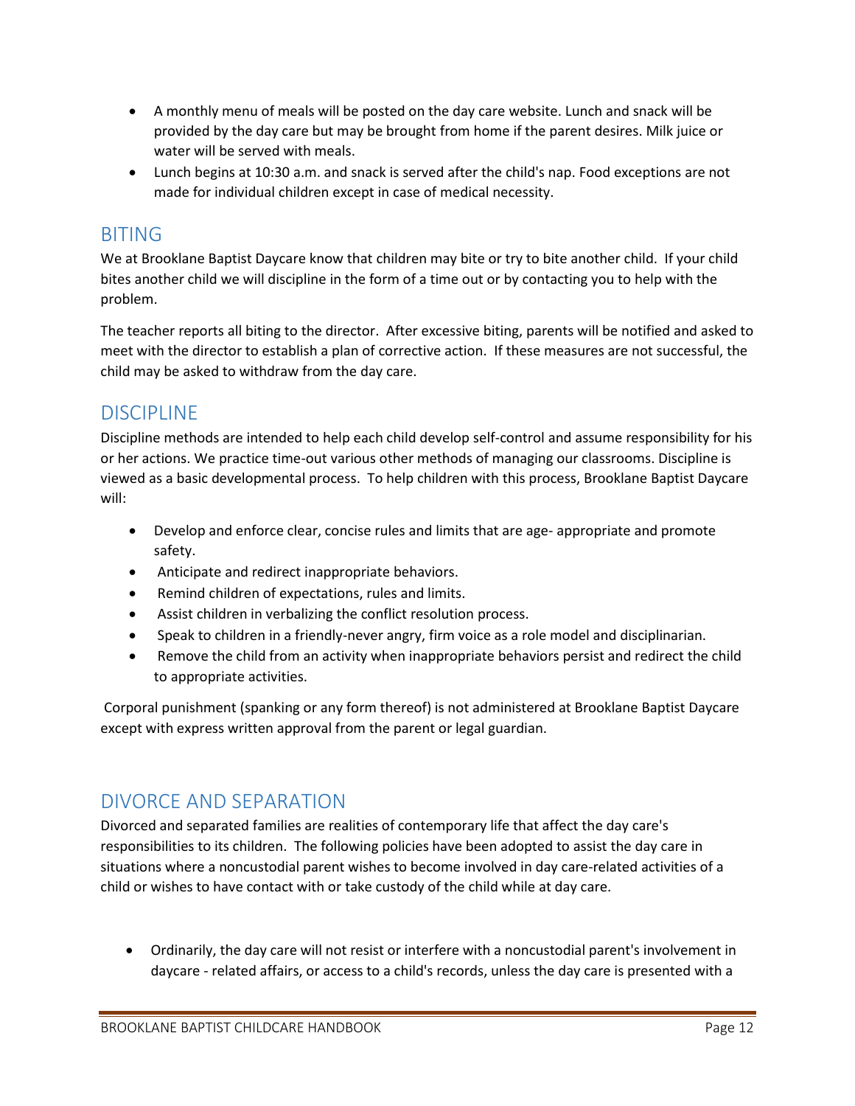- A monthly menu of meals will be posted on the day care website. Lunch and snack will be provided by the day care but may be brought from home if the parent desires. Milk juice or water will be served with meals.
- Lunch begins at 10:30 a.m. and snack is served after the child's nap. Food exceptions are not made for individual children except in case of medical necessity.

### <span id="page-11-0"></span>BITING

We at Brooklane Baptist Daycare know that children may bite or try to bite another child. If your child bites another child we will discipline in the form of a time out or by contacting you to help with the problem.

The teacher reports all biting to the director. After excessive biting, parents will be notified and asked to meet with the director to establish a plan of corrective action. If these measures are not successful, the child may be asked to withdraw from the day care.

## <span id="page-11-1"></span>DISCIPLINE

Discipline methods are intended to help each child develop self-control and assume responsibility for his or her actions. We practice time-out various other methods of managing our classrooms. Discipline is viewed as a basic developmental process. To help children with this process, Brooklane Baptist Daycare will:

- Develop and enforce clear, concise rules and limits that are age- appropriate and promote safety.
- Anticipate and redirect inappropriate behaviors.
- Remind children of expectations, rules and limits.
- Assist children in verbalizing the conflict resolution process.
- Speak to children in a friendly-never angry, firm voice as a role model and disciplinarian.
- Remove the child from an activity when inappropriate behaviors persist and redirect the child to appropriate activities.

Corporal punishment (spanking or any form thereof) is not administered at Brooklane Baptist Daycare except with express written approval from the parent or legal guardian.

## <span id="page-11-2"></span>DIVORCE AND SEPARATION

Divorced and separated families are realities of contemporary life that affect the day care's responsibilities to its children. The following policies have been adopted to assist the day care in situations where a noncustodial parent wishes to become involved in day care-related activities of a child or wishes to have contact with or take custody of the child while at day care.

 Ordinarily, the day care will not resist or interfere with a noncustodial parent's involvement in daycare - related affairs, or access to a child's records, unless the day care is presented with a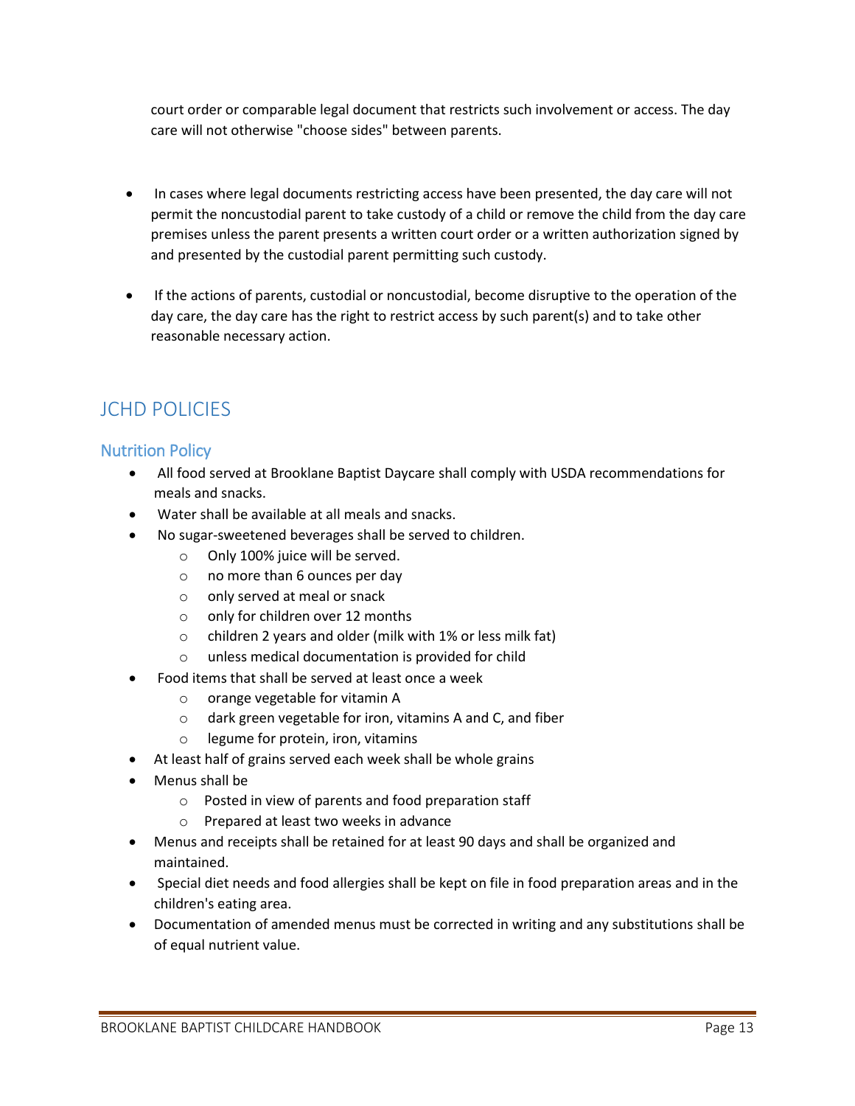court order or comparable legal document that restricts such involvement or access. The day care will not otherwise "choose sides" between parents.

- In cases where legal documents restricting access have been presented, the day care will not permit the noncustodial parent to take custody of a child or remove the child from the day care premises unless the parent presents a written court order or a written authorization signed by and presented by the custodial parent permitting such custody.
- If the actions of parents, custodial or noncustodial, become disruptive to the operation of the day care, the day care has the right to restrict access by such parent(s) and to take other reasonable necessary action.

# <span id="page-12-0"></span>JCHD POLICIES

#### <span id="page-12-1"></span>Nutrition Policy

- All food served at Brooklane Baptist Daycare shall comply with USDA recommendations for meals and snacks.
- Water shall be available at all meals and snacks.
- No sugar-sweetened beverages shall be served to children.
	- o Only 100% juice will be served.
	- o no more than 6 ounces per day
	- o only served at meal or snack
	- o only for children over 12 months
	- o children 2 years and older (milk with 1% or less milk fat)
	- o unless medical documentation is provided for child
- Food items that shall be served at least once a week
	- o orange vegetable for vitamin A
	- o dark green vegetable for iron, vitamins A and C, and fiber
	- o legume for protein, iron, vitamins
- At least half of grains served each week shall be whole grains
- Menus shall be
	- o Posted in view of parents and food preparation staff
	- o Prepared at least two weeks in advance
- Menus and receipts shall be retained for at least 90 days and shall be organized and maintained.
- Special diet needs and food allergies shall be kept on file in food preparation areas and in the children's eating area.
- Documentation of amended menus must be corrected in writing and any substitutions shall be of equal nutrient value.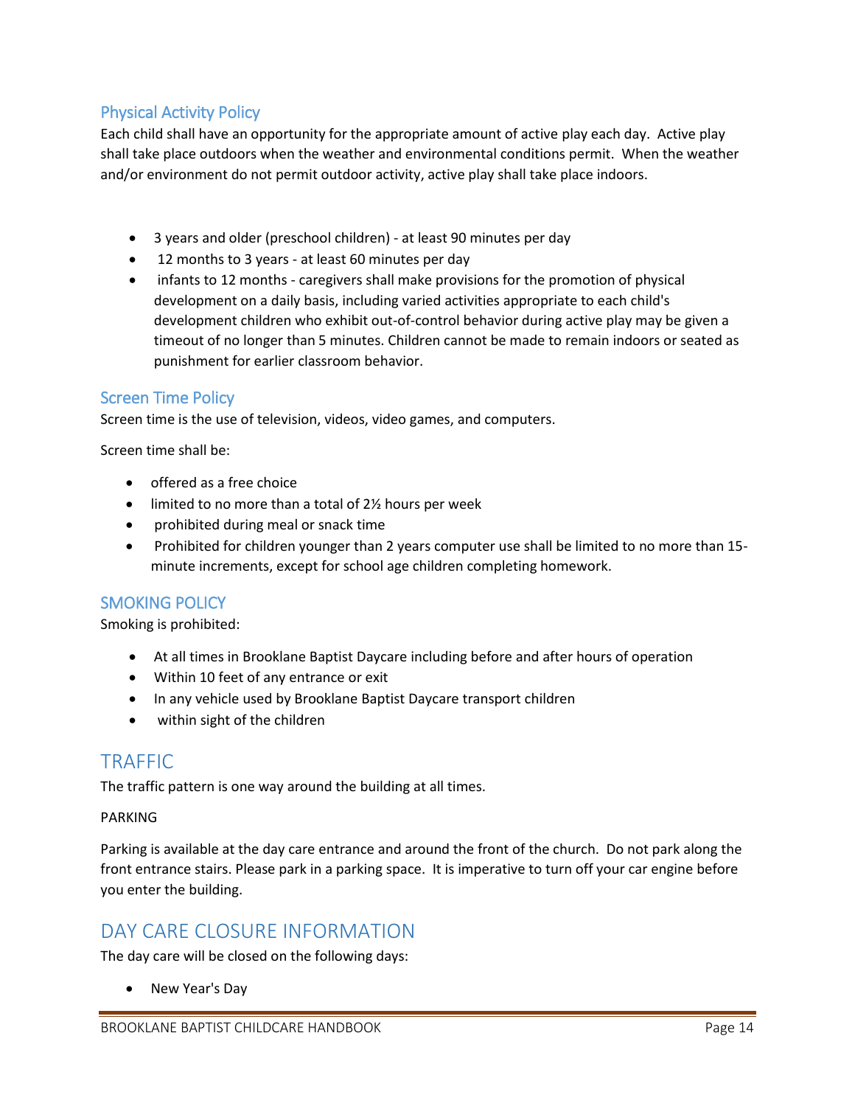#### <span id="page-13-0"></span>Physical Activity Policy

Each child shall have an opportunity for the appropriate amount of active play each day. Active play shall take place outdoors when the weather and environmental conditions permit. When the weather and/or environment do not permit outdoor activity, active play shall take place indoors.

- 3 years and older (preschool children) at least 90 minutes per day
- 12 months to 3 years at least 60 minutes per day
- infants to 12 months caregivers shall make provisions for the promotion of physical development on a daily basis, including varied activities appropriate to each child's development children who exhibit out-of-control behavior during active play may be given a timeout of no longer than 5 minutes. Children cannot be made to remain indoors or seated as punishment for earlier classroom behavior.

#### <span id="page-13-1"></span>Screen Time Policy

Screen time is the use of television, videos, video games, and computers.

Screen time shall be:

- offered as a free choice
- limited to no more than a total of 2<sup>1</sup>/<sub>2</sub> hours per week
- prohibited during meal or snack time
- Prohibited for children younger than 2 years computer use shall be limited to no more than 15 minute increments, except for school age children completing homework.

#### <span id="page-13-2"></span>SMOKING POLICY

Smoking is prohibited:

- At all times in Brooklane Baptist Daycare including before and after hours of operation
- Within 10 feet of any entrance or exit
- In any vehicle used by Brooklane Baptist Daycare transport children
- within sight of the children

### <span id="page-13-3"></span>TRAFFIC

The traffic pattern is one way around the building at all times.

#### PARKING

Parking is available at the day care entrance and around the front of the church. Do not park along the front entrance stairs. Please park in a parking space. It is imperative to turn off your car engine before you enter the building.

### <span id="page-13-4"></span>DAY CARE CLOSURE INFORMATION

The day care will be closed on the following days:

• New Year's Day